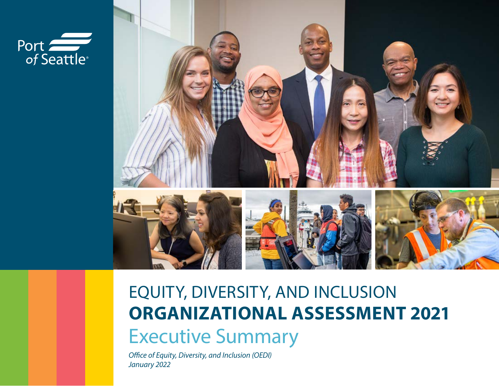



## EQUITY, DIVERSITY, AND INCLUSION **ORGANIZATIONAL ASSESSMENT 2021** Executive Summary

*Office of Equity, Diversity, and Inclusion (OEDI) January 2022*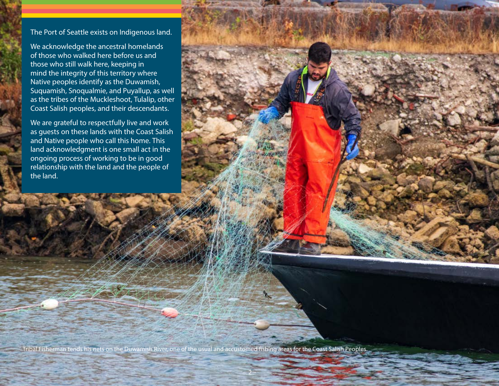## The Port of Seattle exists on Indigenous land.

We acknowledge the ancestral homelands of those who walked here before us and those who still walk here, keeping in mind the integrity of this territory where Native peoples identify as the Duwamish, Suquamish, Snoqualmie, and Puyallup, as well as the tribes of the Muckleshoot, Tulalip, other Coast Salish peoples, and their descendants.

We are grateful to respectfully live and work as guests on these lands with the Coast Salish and Native people who call this home. This land acknowledgment is one small act in the ongoing process of working to be in good relationship with the land and the people of the land.

Tribal Fisherman tends his nets on the Duwamish River, one of the usual and accustomed fishing areas for the Coast Salish Peoples.

– 2 –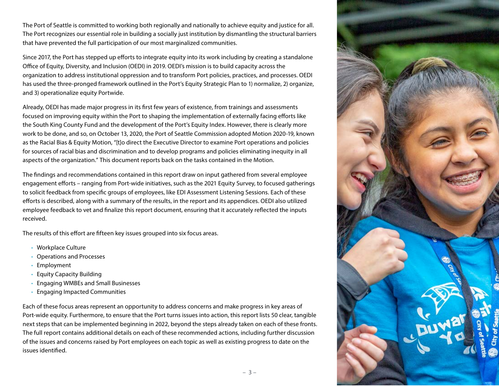The Port of Seattle is committed to working both regionally and nationally to achieve equity and justice for all. The Port recognizes our essential role in building a socially just institution by dismantling the structural barriers that have prevented the full participation of our most marginalized communities.

Since 2017, the Port has stepped up efforts to integrate equity into its work including by creating a standalone Office of Equity, Diversity, and Inclusion (OEDI) in 2019. OEDI's mission is to build capacity across the organization to address institutional oppression and to transform Port policies, practices, and processes. OEDI has used the three-pronged framework outlined in the Port's Equity Strategic Plan to 1) normalize, 2) organize, and 3) operationalize equity Portwide.

Already, OEDI has made major progress in its first few years of existence, from trainings and assessments focused on improving equity within the Port to shaping the implementation of externally facing efforts like the South King County Fund and the development of the Port's Equity Index. However, there is clearly more work to be done, and so, on October 13, 2020, the Port of Seattle Commission adopted Motion 2020-19, known as the Racial Bias & Equity Motion, "[t]o direct the Executive Director to examine Port operations and policies for sources of racial bias and discrimination and to develop programs and policies eliminating inequity in all aspects of the organization." This document reports back on the tasks contained in the Motion.

The findings and recommendations contained in this report draw on input gathered from several employee engagement efforts – ranging from Port-wide initiatives, such as the 2021 Equity Survey, to focused gatherings to solicit feedback from specific groups of employees, like EDI Assessment Listening Sessions. Each of these efforts is described, along with a summary of the results, in the report and its appendices. OEDI also utilized employee feedback to vet and finalize this report document, ensuring that it accurately reflected the inputs received.

The results of this effort are fifteen key issues grouped into six focus areas.

- Workplace Culture
- Operations and Processes
- Employment
- Equity Capacity Building
- Engaging WMBEs and Small Businesses
- Engaging Impacted Communities

Each of these focus areas represent an opportunity to address concerns and make progress in key areas of Port-wide equity. Furthermore, to ensure that the Port turns issues into action, this report lists 50 clear, tangible next steps that can be implemented beginning in 2022, beyond the steps already taken on each of these fronts. The full report contains additional details on each of these recommended actions, including further discussion of the issues and concerns raised by Port employees on each topic as well as existing progress to date on the issues identified.

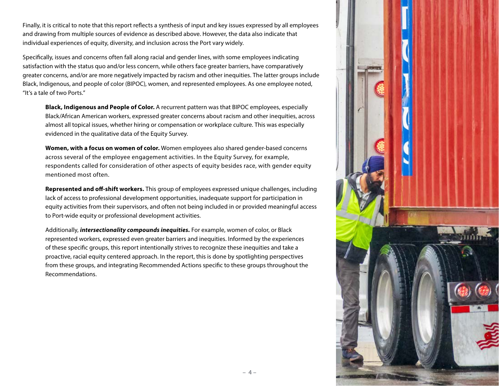Finally, it is critical to note that this report reflects a synthesis of input and key issues expressed by all employees and drawing from multiple sources of evidence as described above. However, the data also indicate that individual experiences of equity, diversity, and inclusion across the Port vary widely.

Specifically, issues and concerns often fall along racial and gender lines, with some employees indicating satisfaction with the status quo and/or less concern, while others face greater barriers, have comparatively greater concerns, and/or are more negatively impacted by racism and other inequities. The latter groups include Black, Indigenous, and people of color (BIPOC), women, and represented employees. As one employee noted, "It's a tale of two Ports."

**Black, Indigenous and People of Color.** A recurrent pattern was that BIPOC employees, especially Black/African American workers, expressed greater concerns about racism and other inequities, across almost all topical issues, whether hiring or compensation or workplace culture. This was especially evidenced in the qualitative data of the Equity Survey.

**Women, with a focus on women of color.** Women employees also shared gender-based concerns across several of the employee engagement activities. In the Equity Survey, for example, respondents called for consideration of other aspects of equity besides race, with gender equity mentioned most often.

**Represented and off-shift workers.** This group of employees expressed unique challenges, including lack of access to professional development opportunities, inadequate support for participation in equity activities from their supervisors, and often not being included in or provided meaningful access to Port-wide equity or professional development activities.

Additionally, *intersectionality compounds inequities.* For example, women of color, or Black represented workers, expressed even greater barriers and inequities. Informed by the experiences of these specific groups, this report intentionally strives to recognize these inequities and take a proactive, racial equity centered approach. In the report, this is done by spotlighting perspectives from these groups, and integrating Recommended Actions specific to these groups throughout the Recommendations.

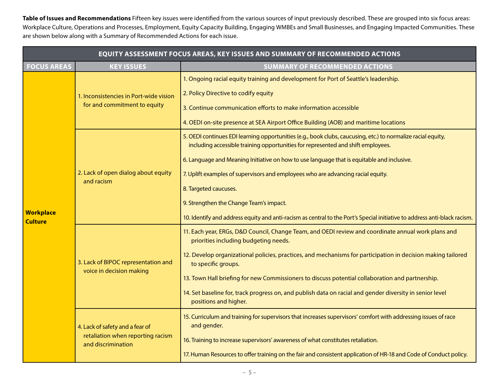**Table of Issues and Recommendations** Fifteen key issues were identified from the various sources of input previously described. These are grouped into six focus areas: Workplace Culture, Operations and Processes, Employment, Equity Capacity Building, Engaging WMBEs and Small Businesses, and Engaging Impacted Communities. These are shown below along with a Summary of Recommended Actions for each issue.

| <b>EQUITY ASSESSMENT FOCUS AREAS, KEY ISSUES AND SUMMARY OF RECOMMENDED ACTIONS</b> |                                                                                            |                                                                                                                                                                                                                                                                                                                                                                                                                                                                                                                                                                                     |  |  |  |
|-------------------------------------------------------------------------------------|--------------------------------------------------------------------------------------------|-------------------------------------------------------------------------------------------------------------------------------------------------------------------------------------------------------------------------------------------------------------------------------------------------------------------------------------------------------------------------------------------------------------------------------------------------------------------------------------------------------------------------------------------------------------------------------------|--|--|--|
| <b>FOCUS AREAS</b>                                                                  | <b>KEY ISSUES</b>                                                                          | <b>SUMMARY OF RECOMMENDED ACTIONS</b>                                                                                                                                                                                                                                                                                                                                                                                                                                                                                                                                               |  |  |  |
| <b>Workplace</b><br><b>Culture</b>                                                  | 1. Inconsistencies in Port-wide vision<br>for and commitment to equity                     | 1. Ongoing racial equity training and development for Port of Seattle's leadership.<br>2. Policy Directive to codify equity<br>3. Continue communication efforts to make information accessible<br>4. OEDI on-site presence at SEA Airport Office Building (AOB) and maritime locations                                                                                                                                                                                                                                                                                             |  |  |  |
|                                                                                     | 2. Lack of open dialog about equity<br>and racism                                          | 5. OEDI continues EDI learning opportunities (e.g., book clubs, caucusing, etc.) to normalize racial equity,<br>including accessible training opportunities for represented and shift employees.<br>6. Language and Meaning Initiative on how to use language that is equitable and inclusive.<br>7. Uplift examples of supervisors and employees who are advancing racial equity.<br>8. Targeted caucuses.<br>9. Strengthen the Change Team's impact.<br>10. Identify and address equity and anti-racism as central to the Port's Special initiative to address anti-black racism. |  |  |  |
|                                                                                     | 3. Lack of BIPOC representation and<br>voice in decision making                            | 11. Each year, ERGs, D&D Council, Change Team, and OEDI review and coordinate annual work plans and<br>priorities including budgeting needs.<br>12. Develop organizational policies, practices, and mechanisms for participation in decision making tailored<br>to specific groups.<br>13. Town Hall briefing for new Commissioners to discuss potential collaboration and partnership.<br>14. Set baseline for, track progress on, and publish data on racial and gender diversity in senior level<br>positions and higher.                                                        |  |  |  |
|                                                                                     | 4. Lack of safety and a fear of<br>retaliation when reporting racism<br>and discrimination | 15. Curriculum and training for supervisors that increases supervisors' comfort with addressing issues of race<br>and gender.<br>16. Training to increase supervisors' awareness of what constitutes retaliation.<br>17. Human Resources to offer training on the fair and consistent application of HR-18 and Code of Conduct policy.                                                                                                                                                                                                                                              |  |  |  |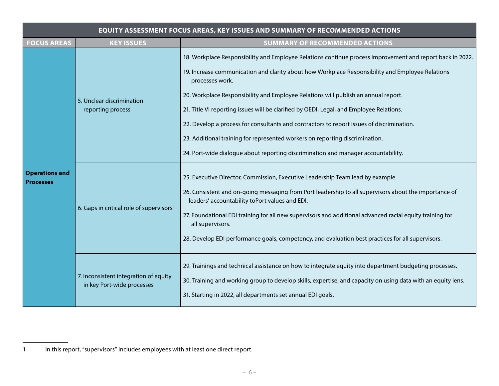| <b>EQUITY ASSESSMENT FOCUS AREAS, KEY ISSUES AND SUMMARY OF RECOMMENDED ACTIONS</b> |                                                                     |                                                                                                                                                                                                                                                                                                                                                                                                                                                                                                                                                                                                                                                                                     |  |  |
|-------------------------------------------------------------------------------------|---------------------------------------------------------------------|-------------------------------------------------------------------------------------------------------------------------------------------------------------------------------------------------------------------------------------------------------------------------------------------------------------------------------------------------------------------------------------------------------------------------------------------------------------------------------------------------------------------------------------------------------------------------------------------------------------------------------------------------------------------------------------|--|--|
| <b>FOCUS AREAS</b>                                                                  | <b>KEY ISSUES</b>                                                   | <b>SUMMARY OF RECOMMENDED ACTIONS</b>                                                                                                                                                                                                                                                                                                                                                                                                                                                                                                                                                                                                                                               |  |  |
| <b>Operations and</b><br><b>Processes</b>                                           | 5. Unclear discrimination<br>reporting process                      | 18. Workplace Responsibility and Employee Relations continue process improvement and report back in 2022.<br>19. Increase communication and clarity about how Workplace Responsibility and Employee Relations<br>processes work.<br>20. Workplace Responsibility and Employee Relations will publish an annual report.<br>21. Title VI reporting issues will be clarified by OEDI, Legal, and Employee Relations.<br>22. Develop a process for consultants and contractors to report issues of discrimination.<br>23. Additional training for represented workers on reporting discrimination.<br>24. Port-wide dialogue about reporting discrimination and manager accountability. |  |  |
|                                                                                     | 6. Gaps in critical role of supervisors <sup>1</sup>                | 25. Executive Director, Commission, Executive Leadership Team lead by example.<br>26. Consistent and on-going messaging from Port leadership to all supervisors about the importance of<br>leaders' accountability toPort values and EDI.<br>27. Foundational EDI training for all new supervisors and additional advanced racial equity training for<br>all supervisors.<br>28. Develop EDI performance goals, competency, and evaluation best practices for all supervisors.                                                                                                                                                                                                      |  |  |
|                                                                                     | 7. Inconsistent integration of equity<br>in key Port-wide processes | 29. Trainings and technical assistance on how to integrate equity into department budgeting processes.<br>30. Training and working group to develop skills, expertise, and capacity on using data with an equity lens.<br>31. Starting in 2022, all departments set annual EDI goals.                                                                                                                                                                                                                                                                                                                                                                                               |  |  |

<sup>1</sup> In this report, "supervisors" includes employees with at least one direct report.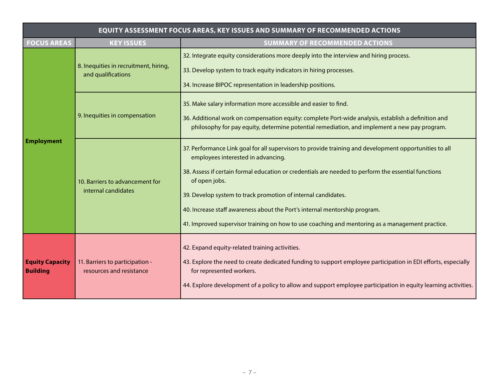| <b>EQUITY ASSESSMENT FOCUS AREAS, KEY ISSUES AND SUMMARY OF RECOMMENDED ACTIONS</b> |                                                             |                                                                                                                                                                                                                                                                                                                                                                                                                                                                                                                        |  |  |  |
|-------------------------------------------------------------------------------------|-------------------------------------------------------------|------------------------------------------------------------------------------------------------------------------------------------------------------------------------------------------------------------------------------------------------------------------------------------------------------------------------------------------------------------------------------------------------------------------------------------------------------------------------------------------------------------------------|--|--|--|
| <b>FOCUS AREAS</b>                                                                  | <b>KEY ISSUES</b>                                           | <b>SUMMARY OF RECOMMENDED ACTIONS</b>                                                                                                                                                                                                                                                                                                                                                                                                                                                                                  |  |  |  |
| <b>Employment</b>                                                                   | 8. Inequities in recruitment, hiring,<br>and qualifications | 32. Integrate equity considerations more deeply into the interview and hiring process.<br>33. Develop system to track equity indicators in hiring processes.<br>34. Increase BIPOC representation in leadership positions.                                                                                                                                                                                                                                                                                             |  |  |  |
|                                                                                     | 9. Inequities in compensation                               | 35. Make salary information more accessible and easier to find.<br>36. Additional work on compensation equity: complete Port-wide analysis, establish a definition and<br>philosophy for pay equity, determine potential remediation, and implement a new pay program.                                                                                                                                                                                                                                                 |  |  |  |
|                                                                                     | 10. Barriers to advancement for<br>internal candidates      | 37. Performance Link goal for all supervisors to provide training and development opportunities to all<br>employees interested in advancing.<br>38. Assess if certain formal education or credentials are needed to perform the essential functions<br>of open jobs.<br>39. Develop system to track promotion of internal candidates.<br>40. Increase staff awareness about the Port's internal mentorship program.<br>41. Improved supervisor training on how to use coaching and mentoring as a management practice. |  |  |  |
| <b>Equity Capacity</b><br><b>Building</b>                                           | 11. Barriers to participation -<br>resources and resistance | 42. Expand equity-related training activities.<br>43. Explore the need to create dedicated funding to support employee participation in EDI efforts, especially<br>for represented workers.<br>44. Explore development of a policy to allow and support employee participation in equity learning activities.                                                                                                                                                                                                          |  |  |  |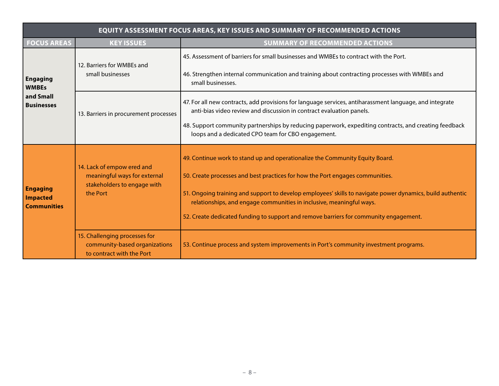| <b>EQUITY ASSESSMENT FOCUS AREAS, KEY ISSUES AND SUMMARY OF RECOMMENDED ACTIONS</b> |                                                                                                       |                                                                                                                                                                                                                                                                                                                                                                                                                                             |  |  |  |
|-------------------------------------------------------------------------------------|-------------------------------------------------------------------------------------------------------|---------------------------------------------------------------------------------------------------------------------------------------------------------------------------------------------------------------------------------------------------------------------------------------------------------------------------------------------------------------------------------------------------------------------------------------------|--|--|--|
| <b>FOCUS AREAS</b>                                                                  | <b>KEY ISSUES</b>                                                                                     | <b>SUMMARY OF RECOMMENDED ACTIONS</b>                                                                                                                                                                                                                                                                                                                                                                                                       |  |  |  |
| <b>Engaging</b><br><b>WMBEs</b><br>and Small<br><b>Businesses</b>                   | 12. Barriers for WMBEs and<br>small businesses                                                        | 45. Assessment of barriers for small businesses and WMBEs to contract with the Port.<br>46. Strengthen internal communication and training about contracting processes with WMBEs and<br>small businesses.                                                                                                                                                                                                                                  |  |  |  |
|                                                                                     | 13. Barriers in procurement processes                                                                 | 47. For all new contracts, add provisions for language services, antiharassment language, and integrate<br>anti-bias video review and discussion in contract evaluation panels.<br>48. Support community partnerships by reducing paperwork, expediting contracts, and creating feedback<br>loops and a dedicated CPO team for CBO engagement.                                                                                              |  |  |  |
| <b>Engaging</b><br><b>Impacted</b><br><b>Communities</b>                            | 14. Lack of empow ered and<br>meaningful ways for external<br>stakeholders to engage with<br>the Port | 49. Continue work to stand up and operationalize the Community Equity Board.<br>50. Create processes and best practices for how the Port engages communities.<br>51. Ongoing training and support to develop employees' skills to navigate power dynamics, build authentic<br>relationships, and engage communities in inclusive, meaningful ways.<br>52. Create dedicated funding to support and remove barriers for community engagement. |  |  |  |
|                                                                                     | 15. Challenging processes for<br>community-based organizations<br>to contract with the Port           | 53. Continue process and system improvements in Port's community investment programs.                                                                                                                                                                                                                                                                                                                                                       |  |  |  |